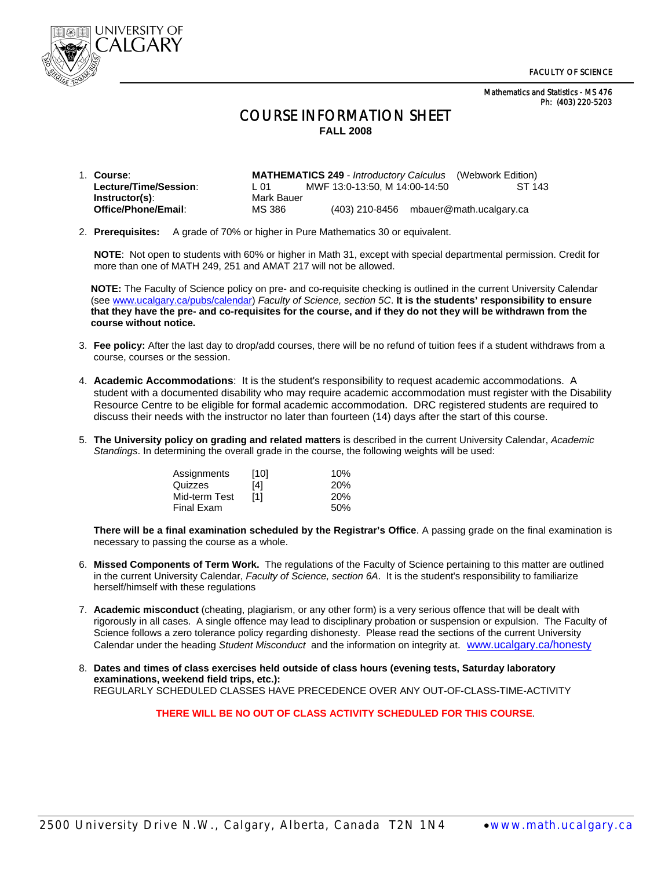Mathematics and Statistics - MS 476 Ph: (403) 220-5203



## COURSE INFORMATION SHEET **FALL 2008**

| 1. Course:            |            |                                          | <b>MATHEMATICS 249</b> - <i>Introductory Calculus</i> (Webwork Edition) |
|-----------------------|------------|------------------------------------------|-------------------------------------------------------------------------|
| Lecture/Time/Session: | L 01       | MWF 13:0-13:50. M 14:00-14:50            | ST 143                                                                  |
| $Instructor(s)$ :     | Mark Bauer |                                          |                                                                         |
| Office/Phone/Email:   | MS 386     | $(403)$ 210-8456 mbauer@math.ucalgary.ca |                                                                         |

2. **Prerequisites:** A grade of 70% or higher in Pure Mathematics 30 or equivalent.

 **NOTE**: Not open to students with 60% or higher in Math 31, except with special departmental permission. Credit for more than one of MATH 249, 251 and AMAT 217 will not be allowed.

**NOTE:** The Faculty of Science policy on pre- and co-requisite checking is outlined in the current University Calendar (see www.ucalgary.ca/pubs/calendar) *Faculty of Science, section 5C*. **It is the students' responsibility to ensure that they have the pre- and co-requisites for the course, and if they do not they will be withdrawn from the course without notice.** 

- 3. **Fee policy:** After the last day to drop/add courses, there will be no refund of tuition fees if a student withdraws from a course, courses or the session.
- 4. **Academic Accommodations**: It is the student's responsibility to request academic accommodations. A student with a documented disability who may require academic accommodation must register with the Disability Resource Centre to be eligible for formal academic accommodation. DRC registered students are required to discuss their needs with the instructor no later than fourteen (14) days after the start of this course.
- 5. **The University policy on grading and related matters** is described in the current University Calendar, *Academic Standings*. In determining the overall grade in the course, the following weights will be used:

| Assignments   | [10] | 10% |
|---------------|------|-----|
| Quizzes       | [4]  | 20% |
| Mid-term Test | [1]  | 20% |
| Final Exam    |      | 50% |

**There will be a final examination scheduled by the Registrar's Office**. A passing grade on the final examination is necessary to passing the course as a whole.

- 6. **Missed Components of Term Work.** The regulations of the Faculty of Science pertaining to this matter are outlined in the current University Calendar, *Faculty of Science, section 6A*. It is the student's responsibility to familiarize herself/himself with these regulations
- 7. **Academic misconduct** (cheating, plagiarism, or any other form) is a very serious offence that will be dealt with rigorously in all cases. A single offence may lead to disciplinary probation or suspension or expulsion. The Faculty of Science follows a zero tolerance policy regarding dishonesty. Please read the sections of the current University Calendar under the heading *Student Misconduct* and the information on integrity at. www.ucalgary.ca/honesty
- 8. **Dates and times of class exercises held outside of class hours (evening tests, Saturday laboratory examinations, weekend field trips, etc.):** REGULARLY SCHEDULED CLASSES HAVE PRECEDENCE OVER ANY OUT-OF-CLASS-TIME-ACTIVITY

**THERE WILL BE NO OUT OF CLASS ACTIVITY SCHEDULED FOR THIS COURSE**.